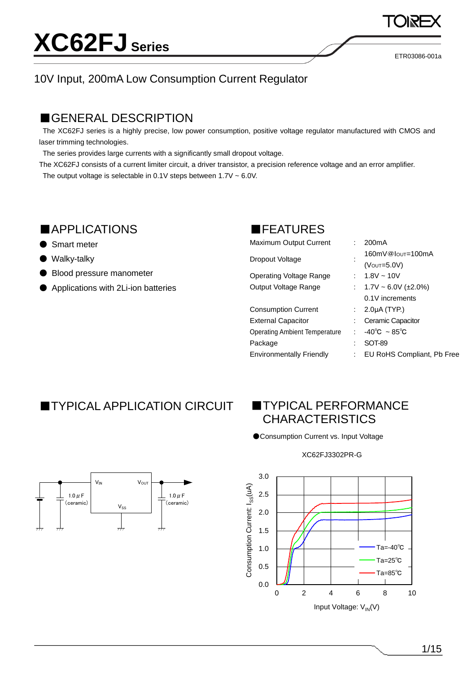ETR03086-001a

### 10V Input, 200mA Low Consumption Current Regulator

### ■GENERAL DESCRIPTION

The XC62FJ series is a highly precise, low power consumption, positive voltage regulator manufactured with CMOS and laser trimming technologies.

The series provides large currents with a significantly small dropout voltage.

The XC62FJ consists of a current limiter circuit, a driver transistor, a precision reference voltage and an error amplifier. The output voltage is selectable in  $0.1V$  steps between  $1.7V \sim 6.0V$ .

### ■APPLICATIONS

- Smart meter
- Walky-talky
- Blood pressure manometer
- Applications with 2Li-ion batteries

### ■FEATURES

| 160mV@lout=100mA               |
|--------------------------------|
|                                |
|                                |
| : $1.7V \sim 6.0V (\pm 2.0\%)$ |
|                                |
|                                |
|                                |
|                                |
|                                |
| : EU RoHS Compliant, Pb Free   |
|                                |

### ■TYPICAL APPLICATION CIRCUIT ■TYPICAL PERFORMANCE

## CHARACTERISTICS

●Consumption Current vs. Input Voltage

#### XC62FJ3302PR-G





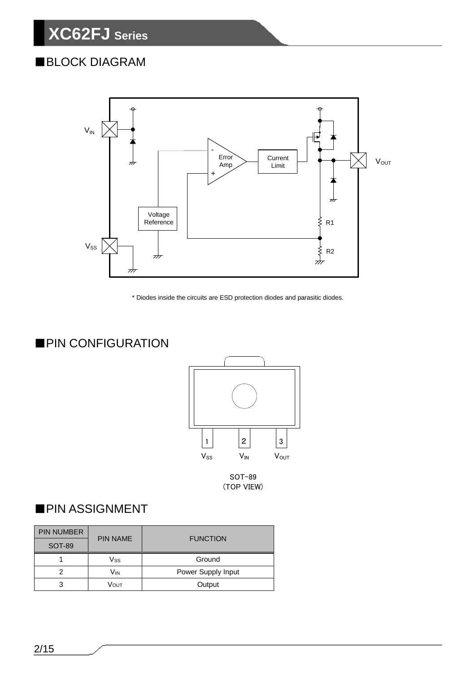### ■BLOCK DIAGRAM



\* Diodes inside the circuits are ESD protection diodes and parasitic diodes.

### ■PIN CONFIGURATION



SOT-89

### ■PIN ASSIGNMENT

| <b>PIN NUMBER</b> |                 |                    |  |  |  |
|-------------------|-----------------|--------------------|--|--|--|
| SOT-89            | <b>PIN NAME</b> | <b>FUNCTION</b>    |  |  |  |
|                   | Vss             | Ground             |  |  |  |
| າ                 | Vın             | Power Supply Input |  |  |  |
| 3                 | Vουτ            | Output             |  |  |  |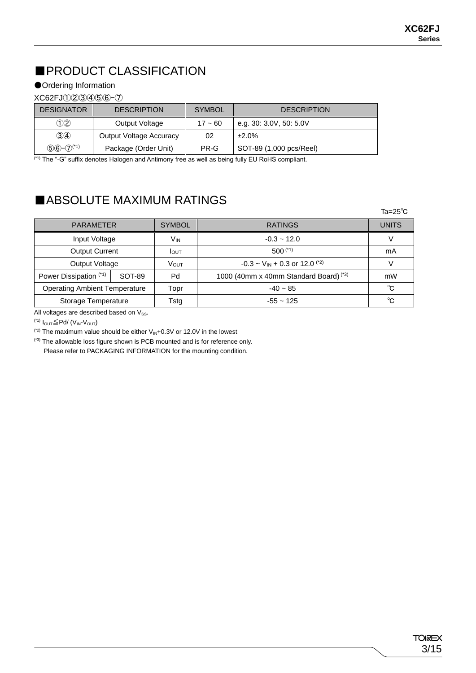### ■PRODUCT CLASSIFICATION

#### ●Ordering Information

#### XC62FJ①②③④⑤⑥-⑦

| <b>DESIGNATOR</b>  | <b>DESCRIPTION</b>             | <b>SYMBOL</b> | <b>DESCRIPTION</b>      |
|--------------------|--------------------------------|---------------|-------------------------|
| (D2)               | Output Voltage                 | $17 - 60$     | e.g. 30: 3.0V, 50: 5.0V |
| $\mathcal{D}$      | <b>Output Voltage Accuracy</b> | 02            | ±2.0%                   |
| $(5)(6)-(7)^{(4)}$ | Package (Order Unit)           | PR-G          | SOT-89 (1,000 pcs/Reel) |

(\*1) The "-G" suffix denotes Halogen and Antimony free as well as being fully EU RoHS compliant.

### ■ABSOLUTE MAXIMUM RATINGS

|                                      |        |               |                                                           | $Ta = 25^\circ C$ |
|--------------------------------------|--------|---------------|-----------------------------------------------------------|-------------------|
| <b>PARAMETER</b>                     |        | <b>SYMBOL</b> | <b>RATINGS</b>                                            | <b>UNITS</b>      |
| Input Voltage                        |        | Vin           | $-0.3 - 12.0$                                             |                   |
| <b>Output Current</b>                |        | <b>I</b> OUT  | $500$ $(1)$                                               | mA                |
| Output Voltage                       |        | VOUT          | $-0.3 \sim$ V <sub>IN</sub> + 0.3 or 12.0 <sup>(*2)</sup> | V                 |
| Power Dissipation (*1)               | SOT-89 | Pd            | 1000 (40mm x 40mm Standard Board) (*3)                    | mW                |
| <b>Operating Ambient Temperature</b> |        | Topr          | $-40 \sim 85$                                             | °C                |
| Storage Temperature                  |        | Tstg          | $-55 \sim 125$                                            | °C                |

All voltages are described based on  $V_{SS}$ .

<sup>(\*1)</sup> I<sub>OUT</sub>≦Pd/ (V<sub>IN</sub>-V<sub>OUT</sub>)

( $2$ ) The maximum value should be either  $V_{\text{IN}}+0.3V$  or 12.0V in the lowest

(\*3) The allowable loss figure shown is PCB mounted and is for reference only. Please refer to PACKAGING INFORMATION for the mounting condition.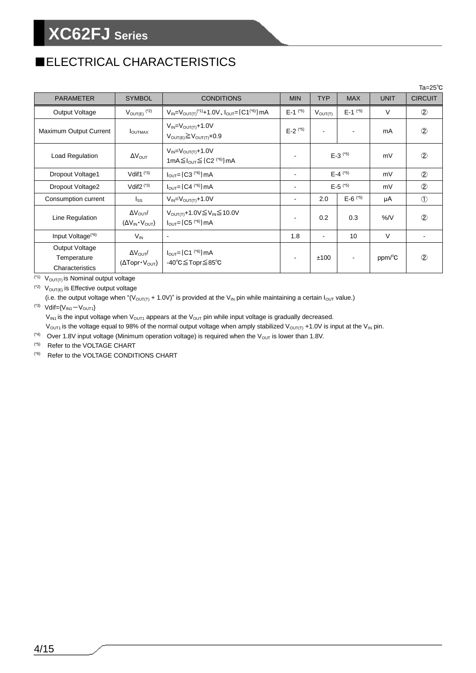### ■ELECTRICAL CHARACTERISTICS

|                                                  |                                                                                |                                                                                       |                |                     |                         |             | Ta= $25^{\circ}$ C |
|--------------------------------------------------|--------------------------------------------------------------------------------|---------------------------------------------------------------------------------------|----------------|---------------------|-------------------------|-------------|--------------------|
| <b>PARAMETER</b>                                 | <b>SYMBOL</b>                                                                  | <b>CONDITIONS</b>                                                                     | <b>MIN</b>     | <b>TYP</b>          | <b>MAX</b>              | <b>UNIT</b> | <b>CIRCUIT</b>     |
| Output Voltage                                   | $V_{\text{OUT}(E)}$ <sup>(*2)</sup>                                            | $V_{IN} = V_{OUT(T)}^{(1)} + 1.0V, I_{OUT} = [C1^{(6)}]mA$                            | $E-1$ (*5)     | $V_{\text{OUT}(T)}$ | $E-1$ <sup>(*5)</sup>   | $\vee$      | $^{\circledR}$     |
| Maximum Output Current                           | I <sub>OUTMAX</sub>                                                            | $V_{IN} = V_{OUT(T)} + 1.0V$<br>$V_{\text{OUT}(E)} \geq V_{\text{OUT}(T)} \times 0.9$ | $E-2$ (*5)     |                     |                         | mA          | $^{\circledR}$     |
| Load Regulation                                  | $\Delta V_{\text{OUT}}$                                                        | $V_{IN} = V_{OUT(T)} + 1.0V$<br>1mA $\leq$ $_{\text{OUT}} \leq$ {C2 $(5)$ } mA        |                |                     | $E - 3$ <sup>(*5)</sup> | mV          | $^{\circledR}$     |
| Dropout Voltage1                                 | Vdif <sub>1</sub> $(*3)$                                                       | $I_{OUT} = {C3}^{(6)}$ mA                                                             |                | $E-4$ (*5)          |                         | mV          | $\circled{2}$      |
| Dropout Voltage2                                 | Vdif $2^{(*)}$                                                                 | $E - 5$ <sup>(*5)</sup><br>$I_{OUT} = [C4$ (*6) ] mA                                  |                | mV                  | $^{\circledR}$          |             |                    |
| Consumption current                              | $I_{SS}$                                                                       | $V_{IN} = V_{OUT(T)} + 1.0V$                                                          | $\sim$         | 2.0                 | $E - 6$ (*5)            | μA          | $\circled{1}$      |
| Line Regulation                                  | $\Delta V_{\text{OUT}}/$<br>$(\Delta V_{IN} \cdot V_{OUT})$                    | V <sub>OUT(T)</sub> +1.0V≦V <sub>IN</sub> ≦10.0V<br>$I_{OUT} = {C5}^{(6)}$ mA         | $\blacksquare$ | 0.2                 | 0.3                     | %N          | $^{\circledR}$     |
| Input Voltage <sup>(*6)</sup>                    | $V_{IN}$                                                                       | $\blacksquare$                                                                        | 1.8            | $\blacksquare$      | 10                      | $\vee$      |                    |
| Output Voltage<br>Temperature<br>Characteristics | $\Delta V_{\text{OUT}}/$<br>$(\Delta \text{Topr} \cdot \text{V}_{\text{OUT}})$ | $I_{OUT} = {C1}^{(6)}$ mA<br>-40°C≦Topr≦85°C                                          |                | ±100                |                         | ppm/°C      | $^{\circledR}$     |

 $\overline{(\gamma)}$   $\overline{V_{\text{OUT}(T)}}$  is Nominal output voltage

 $(2)$   $V_{\text{OUT}(E)}$  is Effective output voltage

(i.e. the output voltage when "( $V_{\text{OUT(T)}}$  + 1.0V)" is provided at the  $V_{\text{IN}}$  pin while maintaining a certain  $I_{\text{OUT}}$  value.)  $(3)$  Vdif={V<sub>IN1</sub>-V<sub>OUT1</sub>}

 $V_{IN1}$  is the input voltage when  $V_{OUT1}$  appears at the  $V_{OUT}$  pin while input voltage is gradually decreased.

 $V_{\text{OUT1}}$  is the voltage equal to 98% of the normal output voltage when amply stabilized  $V_{\text{OUT(T)}} + 1.0V$  is input at the V<sub>IN</sub> pin.

(\*4) Over 1.8V input voltage (Minimum operation voltage) is required when the  $V_{\text{OUT}}$  is lower than 1.8V.

(\*5) Refer to the VOLTAGE CHART

(\*6) Refer to the VOLTAGE CONDITIONS CHART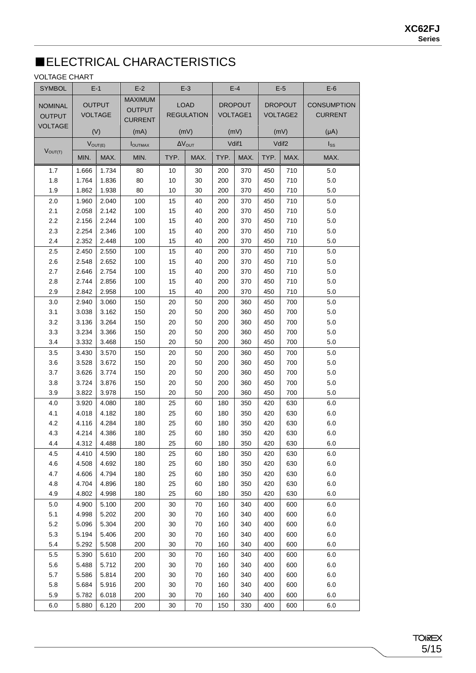### ■ELECTRICAL CHARACTERISTICS

#### VOLTAGE CHART

| <b>SYMBOL</b>  |              | $E-1$          | $E-2$           |      | $E-3$                   |      | $E-4$          |      | $E-5$             | $E-6$              |
|----------------|--------------|----------------|-----------------|------|-------------------------|------|----------------|------|-------------------|--------------------|
|                |              |                | <b>MAXIMUM</b>  |      |                         |      |                |      |                   |                    |
| <b>NOMINAL</b> |              | <b>OUTPUT</b>  | <b>OUTPUT</b>   |      | <b>LOAD</b>             |      | <b>DROPOUT</b> |      | <b>DROPOUT</b>    | <b>CONSUMPTION</b> |
| <b>OUTPUT</b>  |              | <b>VOLTAGE</b> | <b>CURRENT</b>  |      | <b>REGULATION</b>       |      | VOLTAGE1       |      | <b>VOLTAGE2</b>   | <b>CURRENT</b>     |
| <b>VOLTAGE</b> |              | (V)            | (mA)            |      | (mV)                    |      | (mV)           |      | (mV)              | $(\mu A)$          |
|                | $V_{OUT(E)}$ |                | <b>I</b> OUTMAX |      | $\Delta V_{\text{OUT}}$ |      | Vdif1          |      | Vdif <sub>2</sub> | $I_{SS}$           |
| $V_{OUT(T)}$   | MIN.         | MAX.           | MIN.            | TYP. | MAX.                    | TYP. | MAX.           | TYP. | MAX.              | MAX.               |
| 1.7            | 1.666        | 1.734          | 80              | 10   | 30                      | 200  | 370            | 450  | 710               | 5.0                |
| 1.8            | 1.764        | 1.836          | 80              | 10   | 30                      | 200  | 370            | 450  | 710               | 5.0                |
| 1.9            | 1.862        | 1.938          | 80              | 10   | 30                      | 200  | 370            | 450  | 710               | 5.0                |
| 2.0            | 1.960        | 2.040          | 100             | 15   | 40                      | 200  | 370            | 450  | 710               | 5.0                |
| 2.1            | 2.058        | 2.142          | 100             | 15   | 40                      | 200  | 370            | 450  | 710               | 5.0                |
| $2.2\,$        | 2.156        | 2.244          | 100             | 15   | 40                      | 200  | 370            | 450  | 710               | $5.0\,$            |
| 2.3            | 2.254        | 2.346          | 100             | 15   | 40                      | 200  | 370            | 450  | 710               | 5.0                |
| 2.4            | 2.352        | 2.448          | 100             | 15   | 40                      | 200  | 370            | 450  | 710               | 5.0                |
| 2.5            | 2.450        | 2.550          | 100             | 15   | 40                      | 200  | 370            | 450  | 710               | 5.0                |
| 2.6            | 2.548        | 2.652          | 100             | 15   | 40                      | 200  | 370            | 450  | 710               | $5.0\,$            |
| 2.7            | 2.646        | 2.754          | 100             | 15   | 40                      | 200  | 370            | 450  | 710               | $5.0\,$            |
| 2.8            | 2.744        | 2.856          | 100             | 15   | 40                      | 200  | 370            | 450  | 710               | 5.0                |
| 2.9            | 2.842        | 2.958          | 100             | 15   | 40                      | 200  | 370            | 450  | 710               | 5.0                |
|                |              |                |                 |      |                         |      |                |      |                   |                    |
| 3.0            | 2.940        | 3.060          | 150             | 20   | 50                      | 200  | 360            | 450  | 700               | 5.0                |
| 3.1            | 3.038        | 3.162          | 150             | 20   | 50                      | 200  | 360            | 450  | 700               | $5.0\,$            |
| 3.2            | 3.136        | 3.264          | 150             | 20   | 50                      | 200  | 360            | 450  | 700               | 5.0                |
| 3.3            | 3.234        | 3.366          | 150             | 20   | 50                      | 200  | 360            | 450  | 700               | 5.0                |
| 3.4            | 3.332        | 3.468          | 150             | 20   | 50                      | 200  | 360            | 450  | 700               | $5.0\,$            |
| 3.5            | 3.430        | 3.570          | 150             | 20   | 50                      | 200  | 360            | 450  | 700               | $5.0\,$            |
| 3.6            | 3.528        | 3.672          | 150             | 20   | 50                      | 200  | 360            | 450  | 700               | $5.0\,$            |
| 3.7            | 3.626        | 3.774          | 150             | 20   | 50                      | 200  | 360            | 450  | 700               | 5.0                |
| 3.8            | 3.724        | 3.876          | 150             | 20   | 50                      | 200  | 360            | 450  | 700               | 5.0                |
| 3.9            | 3.822        | 3.978          | 150             | 20   | 50                      | 200  | 360            | 450  | 700               | 5.0                |
| 4.0            | 3.920        | 4.080          | 180             | 25   | 60                      | 180  | 350            | 420  | 630               | 6.0                |
| 4.1            | 4.018        | 4.182          | 180             | 25   | 60                      | 180  | 350            | 420  | 630               | $6.0\,$            |
| 4.2            | 4.116        | 4.284          | 180             | 25   | 60                      | 180  | 350            | 420  | 630               | $6.0\,$            |
| 4.3            | 4.214        | 4.386          | 180             | 25   | 60                      | 180  | 350            | 420  | 630               | 6.0                |
| 4.4            | 4.312        | 4.488          | 180             | 25   | 60                      | 180  | 350            | 420  | 630               | 6.0                |
| 4.5            | 4.410        | 4.590          | 180             | 25   | 60                      | 180  | 350            | 420  | 630               | 6.0                |
| 4.6            | 4.508        | 4.692          | 180             | 25   | 60                      | 180  | 350            | 420  | 630               | 6.0                |
| 4.7            | 4.606        | 4.794          | 180             | 25   | 60                      | 180  | 350            | 420  | 630               | 6.0                |
| 4.8            | 4.704        | 4.896          | 180             | 25   | 60                      | 180  | 350            | 420  | 630               | 6.0                |
| 4.9            | 4.802        | 4.998          | 180             | 25   | 60                      | 180  | 350            | 420  | 630               | 6.0                |
| 5.0            | 4.900        | 5.100          | 200             | 30   | 70                      | 160  | 340            | 400  | 600               | 6.0                |
| 5.1            | 4.998        | 5.202          | 200             | 30   | 70                      | 160  | 340            | 400  | 600               | 6.0                |
| $5.2\,$        | 5.096        | 5.304          | 200             | 30   | 70                      | 160  | 340            | 400  | 600               | 6.0                |
| 5.3            | 5.194        | 5.406          | 200             | 30   | 70                      | 160  | 340            | 400  | 600               | 6.0                |
| 5.4            | 5.292        | 5.508          | 200             | 30   | 70                      | 160  | 340            | 400  | 600               | 6.0                |
| 5.5            | 5.390        | 5.610          | 200             | 30   | 70                      | 160  | 340            | 400  | 600               | 6.0                |
| 5.6            | 5.488        | 5.712          | 200             | 30   | 70                      | 160  | 340            | 400  | 600               | 6.0                |
| 5.7            | 5.586        | 5.814          | 200             | 30   | 70                      | 160  | 340            | 400  | 600               | 6.0                |
| 5.8            | 5.684        | 5.916          | 200             | 30   | 70                      | 160  | 340            | 400  | 600               | 6.0                |
| 5.9            | 5.782        | 6.018          | 200             | 30   | 70                      | 160  | 340            | 400  | 600               | 6.0                |
| 6.0            | 5.880        | 6.120          | 200             | 30   | 70                      | 150  | 330            | 400  | 600               | 6.0                |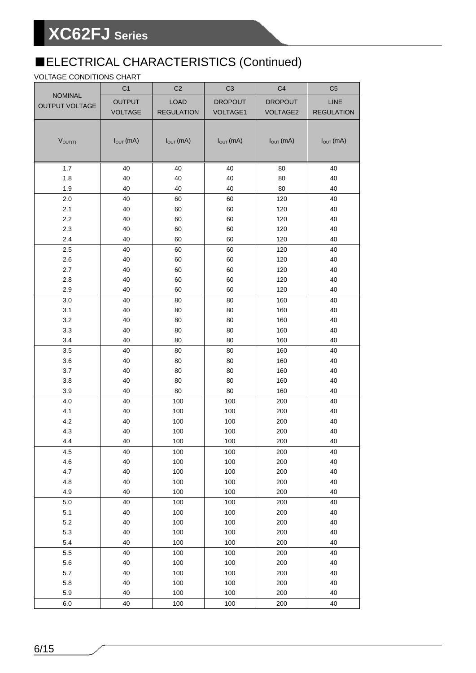### ■ELECTRICAL CHARACTERISTICS (Continued)

#### VOLTAGE CONDITIONS CHART

|                                         | C <sub>1</sub> | C <sub>2</sub>    | C <sub>3</sub>       | C <sub>4</sub>  | C <sub>5</sub>       |
|-----------------------------------------|----------------|-------------------|----------------------|-----------------|----------------------|
| <b>NOMINAL</b><br><b>OUTPUT VOLTAGE</b> | <b>OUTPUT</b>  | <b>LOAD</b>       | <b>DROPOUT</b>       | <b>DROPOUT</b>  | LINE                 |
|                                         | <b>VOLTAGE</b> | <b>REGULATION</b> | <b>VOLTAGE1</b>      | <b>VOLTAGE2</b> | <b>REGULATION</b>    |
|                                         |                |                   |                      |                 |                      |
| $V_{OUT(T)}$                            | $I_{OUT}$ (mA) | $I_{OUT}$ (mA)    | $I_{\text{OUT}}(mA)$ | $I_{OUT}$ (mA)  | $I_{\text{OUT}}(mA)$ |
|                                         |                |                   |                      |                 |                      |
|                                         |                |                   |                      |                 |                      |
| 1.7                                     | 40             | 40                | 40                   | 80              | 40                   |
| 1.8                                     | 40             | 40                | 40                   | 80              | 40                   |
| 1.9                                     | 40             | 40                | 40                   | 80              | 40                   |
| 2.0                                     | 40             | 60                | 60                   | 120             | 40                   |
| 2.1                                     | 40             | 60                | 60                   | 120             | 40                   |
| 2.2                                     | 40             | 60                | 60                   | 120             | 40                   |
| 2.3                                     | 40             | 60                | 60                   | 120             | 40                   |
| 2.4                                     | 40             | 60                | 60                   | 120             | 40                   |
| 2.5                                     | 40             | 60                | 60                   | 120             | 40                   |
| 2.6                                     | 40             | 60                | 60                   | 120             | 40                   |
| 2.7                                     | 40             | 60                | 60                   | 120             | 40                   |
| 2.8<br>2.9                              | 40<br>40       | 60                | 60                   | 120             | 40                   |
|                                         |                | 60                | 60                   | 120             | 40<br>40             |
| 3.0<br>3.1                              | 40<br>40       | 80<br>80          | 80<br>80             | 160<br>160      | 40                   |
| 3.2                                     | 40             | 80                | 80                   | 160             | 40                   |
| 3.3                                     | 40             | 80                | 80                   | 160             | 40                   |
| 3.4                                     | 40             | 80                | 80                   | 160             | 40                   |
| 3.5                                     | 40             | 80                | 80                   | 160             | 40                   |
| 3.6                                     | 40             | 80                | 80                   | 160             | 40                   |
| 3.7                                     | 40             | 80                | 80                   | 160             | 40                   |
| 3.8                                     | 40             | 80                | 80                   | 160             | 40                   |
| 3.9                                     | 40             | 80                | 80                   | 160             | 40                   |
| 4.0                                     | 40             | 100               | 100                  | 200             | 40                   |
| 4.1                                     | 40             | 100               | 100                  | 200             | 40                   |
| 4.2                                     | 40             | 100               | 100                  | 200             | 40                   |
| 4.3                                     | 40             | 100               | 100                  | 200             | 40                   |
| 4.4                                     | 40             | 100               | 100                  | 200             | 40                   |
| 4.5                                     | 40             | 100               | 100                  | 200             | $40\,$               |
| 4.6                                     | 40             | 100               | 100                  | 200             | 40                   |
| 4.7                                     | 40             | 100               | 100                  | 200             | 40                   |
| 4.8                                     | 40             | 100               | 100                  | 200             | 40                   |
| 4.9                                     | 40             | 100               | 100                  | 200             | 40                   |
| $5.0\,$                                 | 40             | 100               | 100                  | 200             | $40\,$               |
| 5.1                                     | 40             | 100               | 100                  | 200             | 40                   |
| 5.2                                     | 40             | 100               | 100                  | 200             | 40                   |
| 5.3<br>5.4                              | 40             | 100               | 100                  | 200             | 40<br>40             |
|                                         | 40<br>40       | 100               | 100                  | 200             |                      |
| $5.5\,$<br>5.6                          | 40             | 100<br>100        | 100<br>100           | 200<br>200      | 40<br>40             |
| 5.7                                     | 40             | 100               | 100                  | 200             | 40                   |
| 5.8                                     | 40             | 100               | 100                  | 200             | 40                   |
| 5.9                                     | 40             | 100               | 100                  | 200             | 40                   |
| 6.0                                     | 40             | 100               | 100                  | 200             | 40                   |
|                                         |                |                   |                      |                 |                      |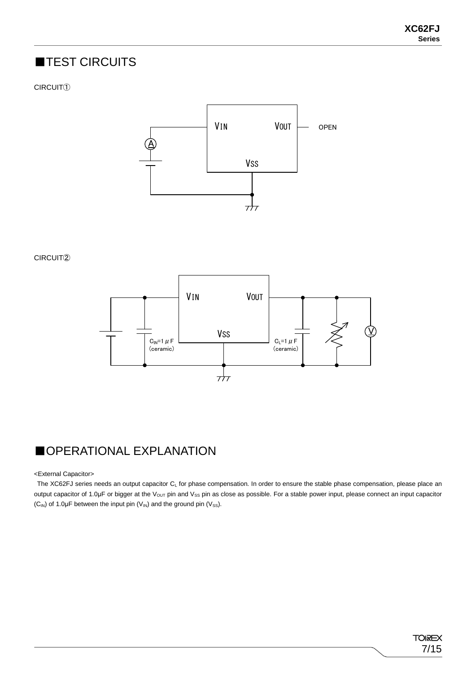### ■TEST CIRCUITS

#### CIRCUIT①



CIRCUIT②



### ■OPERATIONAL EXPLANATION

<External Capacitor>

The XC62FJ series needs an output capacitor  $C_L$  for phase compensation. In order to ensure the stable phase compensation, please place an output capacitor of 1.0μF or bigger at the V<sub>OUT</sub> pin and V<sub>SS</sub> pin as close as possible. For a stable power input, please connect an input capacitor  $(C_{IN})$  of 1.0µF between the input pin  $(V_{IN})$  and the ground pin  $(V_{SS})$ .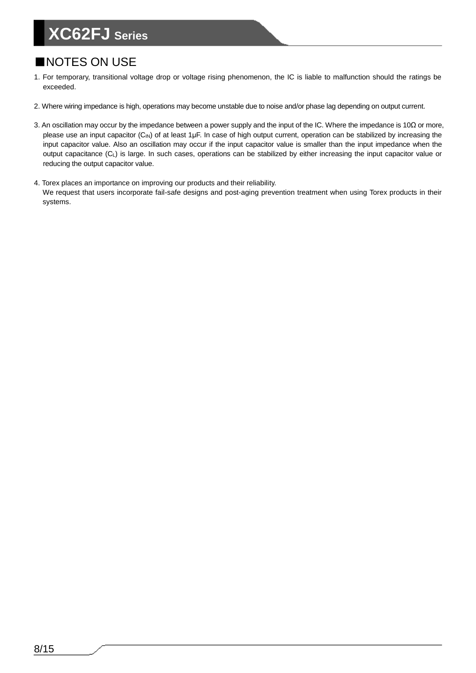### ■NOTES ON USE

- 1. For temporary, transitional voltage drop or voltage rising phenomenon, the IC is liable to malfunction should the ratings be exceeded.
- 2. Where wiring impedance is high, operations may become unstable due to noise and/or phase lag depending on output current.
- 3. An oscillation may occur by the impedance between a power supply and the input of the IC. Where the impedance is 10Ω or more, please use an input capacitor (C<sub>IN</sub>) of at least 1μF. In case of high output current, operation can be stabilized by increasing the input capacitor value. Also an oscillation may occur if the input capacitor value is smaller than the input impedance when the output capacitance (C<sub>L</sub>) is large. In such cases, operations can be stabilized by either increasing the input capacitor value or reducing the output capacitor value.
- 4. Torex places an importance on improving our products and their reliability. We request that users incorporate fail-safe designs and post-aging prevention treatment when using Torex products in their systems.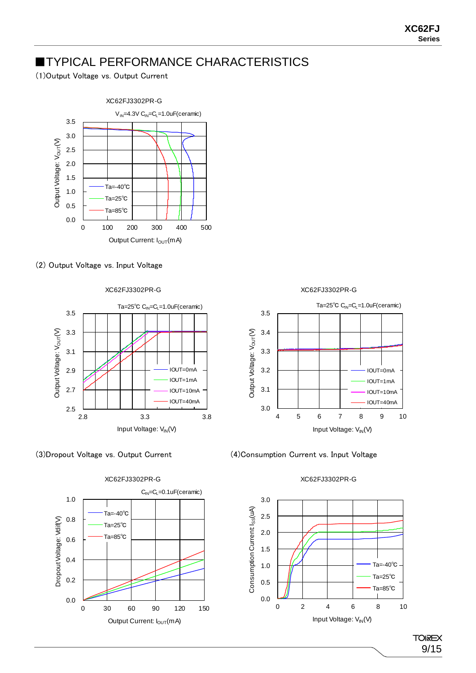### **TYPICAL PERFORMANCE CHARACTERISTICS**

(1)Output Voltage vs. Output Current



#### (2) Output Voltage vs. Input Voltage







XC62FJ3302PR-G

XC62FJ3302PR-G



(3)Dropout Voltage vs. Output Current (4)Consumption Current vs. Input Voltage

#### XC62FJ3302PR-G

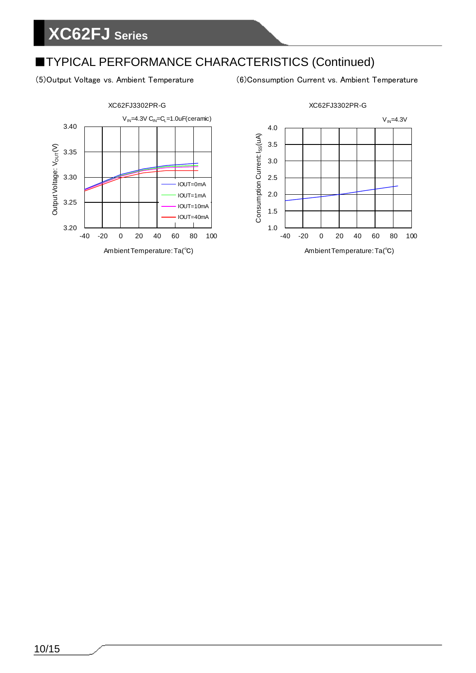### ■TYPICAL PERFORMANCE CHARACTERISTICS (Continued)

(5)Output Voltage vs. Ambient Temperature (6)Consumption Current vs. Ambient Temperature

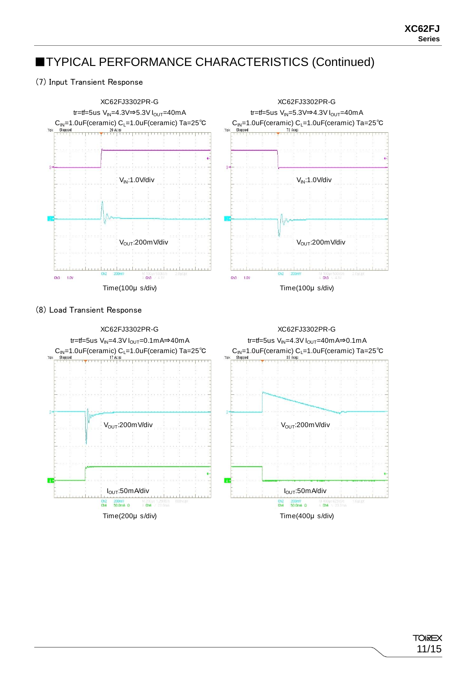### ■TYPICAL PERFORMANCE CHARACTERISTICS (Continued)

#### (7) Input Transient Response

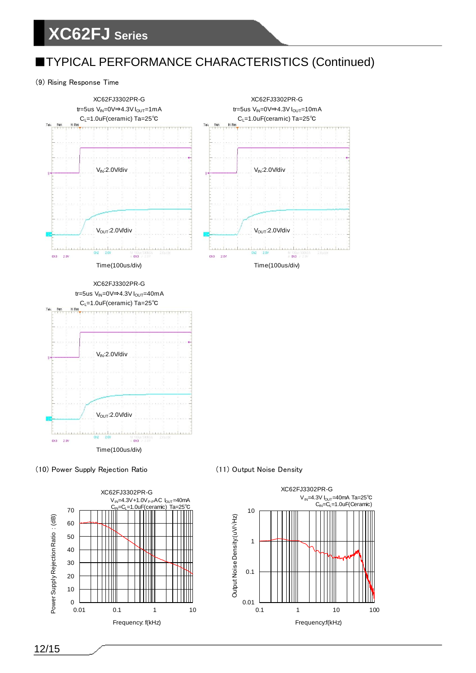### ■TYPICAL PERFORMANCE CHARACTERISTICS (Continued)

#### (9) Rising Response Time







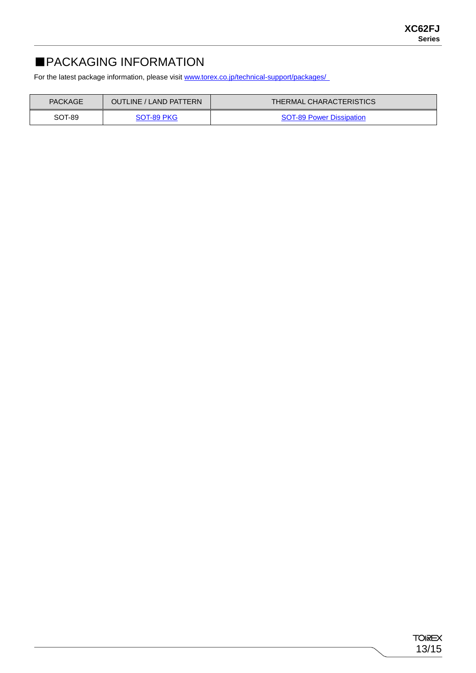### ■PACKAGING INFORMATION

For the latest package information, please visi[t www.torex.co.jp/technical-support/packages/](http://www.torex.co.jp/technical-support/packages/)

| <b>PACKAGE</b><br>OUTLINE / LAND PATTERN |            | <b>THERMAL CHARACTERISTICS</b>  |
|------------------------------------------|------------|---------------------------------|
| SOT-89                                   | SOT-89 PKG | <b>SOT-89 Power Dissipation</b> |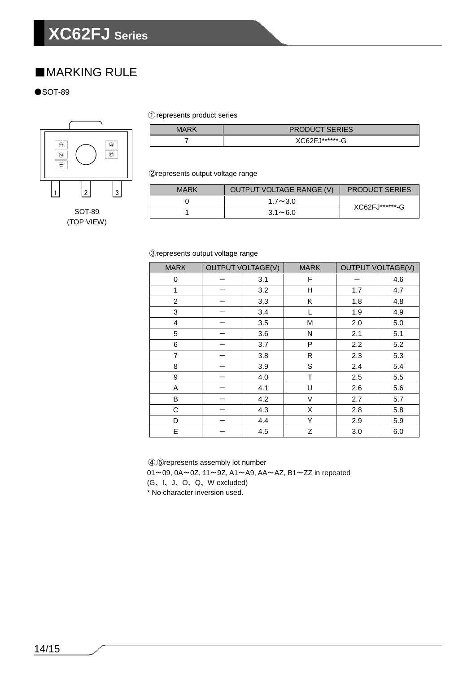### ■**MARKING RULE**

 $\bullet$ SOT-89



①represents product series

| MARK | <b>PRODUCT SERIES</b> |
|------|-----------------------|
|      | XC62F.I*******-G      |

②represents output voltage range

| <b>MARK</b> | OUTPUT VOLTAGE RANGE (V) | <b>PRODUCT SERIES</b> |
|-------------|--------------------------|-----------------------|
|             | $1.7 \sim 3.0$           | XC62FJ*******-G       |
|             | $3.1 \sim 6.0$           |                       |

③represents output voltage range

| <b>MARK</b>    | <b>OUTPUT VOLTAGE(V)</b> |     | <b>MARK</b> | <b>OUTPUT VOLTAGE(V)</b> |     |
|----------------|--------------------------|-----|-------------|--------------------------|-----|
| 0              |                          | 3.1 | F           |                          | 4.6 |
| $\mathbf 1$    |                          | 3.2 | Η           | 1.7                      | 4.7 |
| $\overline{2}$ |                          | 3.3 | Κ           | 1.8                      | 4.8 |
| 3              |                          | 3.4 | L           | 1.9                      | 4.9 |
| 4              |                          | 3.5 | M           | 2.0                      | 5.0 |
| 5              |                          | 3.6 | N           | 2.1                      | 5.1 |
| 6              |                          | 3.7 | P           | 2.2                      | 5.2 |
| $\overline{7}$ |                          | 3.8 | R           | 2.3                      | 5.3 |
| 8              |                          | 3.9 | S           | 2.4                      | 5.4 |
| 9              |                          | 4.0 | T           | 2.5                      | 5.5 |
| Α              |                          | 4.1 | U           | 2.6                      | 5.6 |
| В              |                          | 4.2 | V           | 2.7                      | 5.7 |
| С              |                          | 4.3 | X           | 2.8                      | 5.8 |
| D              |                          | 4.4 | Υ           | 2.9                      | 5.9 |
| E              |                          | 4.5 | Z           | 3.0                      | 6.0 |

④,⑤represents assembly lot number

01~09, 0A~0Z, 11~9Z, A1~A9, AA~AZ, B1~ZZ in repeated

(G、I、J、O、Q、W excluded)

\* No character inversion used.